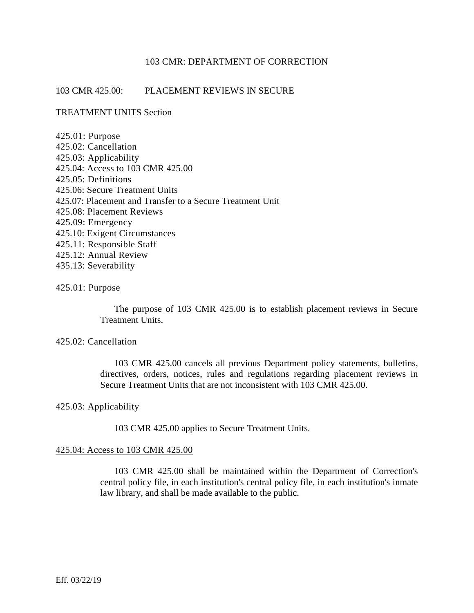# 103 CMR: DEPARTMENT OF CORRECTION

# 103 CMR 425.00: PLACEMENT REVIEWS IN SECURE

# TREATMENT UNITS Section

| $425.01:$ Purpose                                         |
|-----------------------------------------------------------|
| 425.02: Cancellation                                      |
| 425.03: Applicability                                     |
| 425.04: Access to 103 CMR 425.00                          |
| 425.05: Definitions                                       |
| 425.06: Secure Treatment Units                            |
| 425.07: Placement and Transfer to a Secure Treatment Unit |
| 425.08: Placement Reviews                                 |
| 425.09: Emergency                                         |
| 425.10: Exigent Circumstances                             |
| 425.11: Responsible Staff                                 |
| 425.12: Annual Review                                     |
| 435.13: Severability                                      |
|                                                           |

## 425.01: Purpose

The purpose of 103 CMR 425.00 is to establish placement reviews in Secure Treatment Units.

#### 425.02: Cancellation

103 CMR 425.00 cancels all previous Department policy statements, bulletins, directives, orders, notices, rules and regulations regarding placement reviews in Secure Treatment Units that are not inconsistent with 103 CMR 425.00.

# 425.03: Applicability

103 CMR 425.00 applies to Secure Treatment Units.

## 425.04: Access to 103 CMR 425.00

103 CMR 425.00 shall be maintained within the Department of Correction's central policy file, in each institution's central policy file, in each institution's inmate law library, and shall be made available to the public.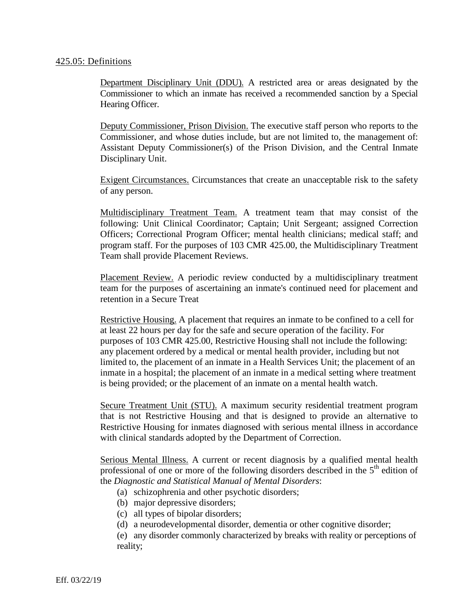## 425.05: Definitions

Department Disciplinary Unit (DDU). A restricted area or areas designated by the Commissioner to which an inmate has received a recommended sanction by a Special Hearing Officer.

Deputy Commissioner, Prison Division. The executive staff person who reports to the Commissioner, and whose duties include, but are not limited to, the management of: Assistant Deputy Commissioner(s) of the Prison Division, and the Central Inmate Disciplinary Unit.

Exigent Circumstances. Circumstances that create an unacceptable risk to the safety of any person.

Multidisciplinary Treatment Team. A treatment team that may consist of the following: Unit Clinical Coordinator; Captain; Unit Sergeant; assigned Correction Officers; Correctional Program Officer; mental health clinicians; medical staff; and program staff. For the purposes of 103 CMR 425.00, the Multidisciplinary Treatment Team shall provide Placement Reviews.

Placement Review. A periodic review conducted by a multidisciplinary treatment team for the purposes of ascertaining an inmate's continued need for placement and retention in a Secure Treat

Restrictive Housing. A placement that requires an inmate to be confined to a cell for at least 22 hours per day for the safe and secure operation of the facility. For purposes of 103 CMR 425.00, Restrictive Housing shall not include the following: any placement ordered by a medical or mental health provider, including but not limited to, the placement of an inmate in a Health Services Unit; the placement of an inmate in a hospital; the placement of an inmate in a medical setting where treatment is being provided; or the placement of an inmate on a mental health watch.

Secure Treatment Unit (STU). A maximum security residential treatment program that is not Restrictive Housing and that is designed to provide an alternative to Restrictive Housing for inmates diagnosed with serious mental illness in accordance with clinical standards adopted by the Department of Correction.

Serious Mental Illness. A current or recent diagnosis by a qualified mental health professional of one or more of the following disorders described in the 5<sup>th</sup> edition of the *Diagnostic and Statistical Manual of Mental Disorders*:

- (a) schizophrenia and other psychotic disorders;
- (b) major depressive disorders;
- (c) all types of bipolar disorders;
- (d) a neurodevelopmental disorder, dementia or other cognitive disorder;

(e) any disorder commonly characterized by breaks with reality or perceptions of reality;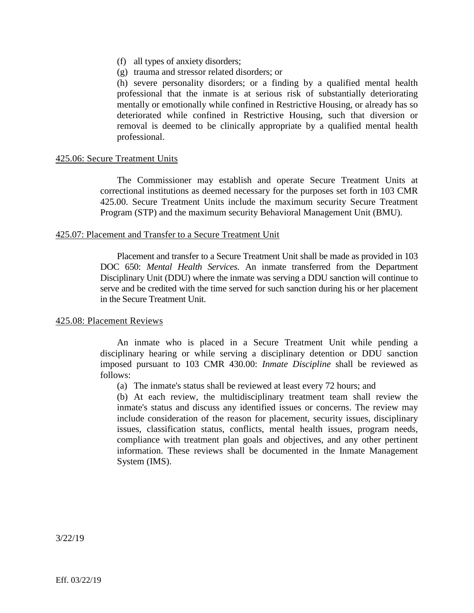- (f) all types of anxiety disorders;
- (g) trauma and stressor related disorders; or

(h) severe personality disorders; or a finding by a qualified mental health professional that the inmate is at serious risk of substantially deteriorating mentally or emotionally while confined in Restrictive Housing, or already has so deteriorated while confined in Restrictive Housing, such that diversion or removal is deemed to be clinically appropriate by a qualified mental health professional.

# 425.06: Secure Treatment Units

The Commissioner may establish and operate Secure Treatment Units at correctional institutions as deemed necessary for the purposes set forth in 103 CMR 425.00. Secure Treatment Units include the maximum security Secure Treatment Program (STP) and the maximum security Behavioral Management Unit (BMU).

## 425.07: Placement and Transfer to a Secure Treatment Unit

Placement and transfer to a Secure Treatment Unit shall be made as provided in 103 DOC 650: *Mental Health Services*. An inmate transferred from the Department Disciplinary Unit (DDU) where the inmate was serving a DDU sanction will continue to serve and be credited with the time served for such sanction during his or her placement in the Secure Treatment Unit.

## 425.08: Placement Reviews

An inmate who is placed in a Secure Treatment Unit while pending a disciplinary hearing or while serving a disciplinary detention or DDU sanction imposed pursuant to 103 CMR 430.00: *Inmate Discipline* shall be reviewed as follows:

(a) The inmate's status shall be reviewed at least every 72 hours; and

(b) At each review, the multidisciplinary treatment team shall review the inmate's status and discuss any identified issues or concerns. The review may include consideration of the reason for placement, security issues, disciplinary issues, classification status, conflicts, mental health issues, program needs, compliance with treatment plan goals and objectives, and any other pertinent information. These reviews shall be documented in the Inmate Management System (IMS).

3/22/19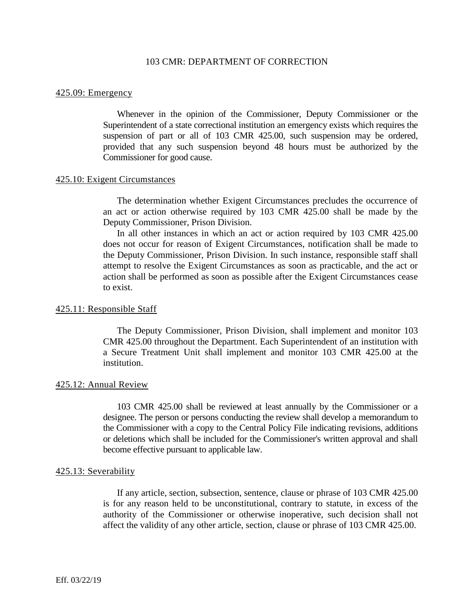## 103 CMR: DEPARTMENT OF CORRECTION

#### 425.09: Emergency

Whenever in the opinion of the Commissioner, Deputy Commissioner or the Superintendent of a state correctional institution an emergency exists which requires the suspension of part or all of 103 CMR 425.00, such suspension may be ordered, provided that any such suspension beyond 48 hours must be authorized by the Commissioner for good cause.

#### 425.10: Exigent Circumstances

The determination whether Exigent Circumstances precludes the occurrence of an act or action otherwise required by 103 CMR 425.00 shall be made by the Deputy Commissioner, Prison Division.

In all other instances in which an act or action required by 103 CMR 425.00 does not occur for reason of Exigent Circumstances, notification shall be made to the Deputy Commissioner, Prison Division. In such instance, responsible staff shall attempt to resolve the Exigent Circumstances as soon as practicable, and the act or action shall be performed as soon as possible after the Exigent Circumstances cease to exist.

#### 425.11: Responsible Staff

The Deputy Commissioner, Prison Division, shall implement and monitor 103 CMR 425.00 throughout the Department. Each Superintendent of an institution with a Secure Treatment Unit shall implement and monitor 103 CMR 425.00 at the institution.

#### 425.12: Annual Review

103 CMR 425.00 shall be reviewed at least annually by the Commissioner or a designee. The person or persons conducting the review shall develop a memorandum to the Commissioner with a copy to the Central Policy File indicating revisions, additions or deletions which shall be included for the Commissioner's written approval and shall become effective pursuant to applicable law.

#### 425.13: Severability

If any article, section, subsection, sentence, clause or phrase of 103 CMR 425.00 is for any reason held to be unconstitutional, contrary to statute, in excess of the authority of the Commissioner or otherwise inoperative, such decision shall not affect the validity of any other article, section, clause or phrase of 103 CMR 425.00.